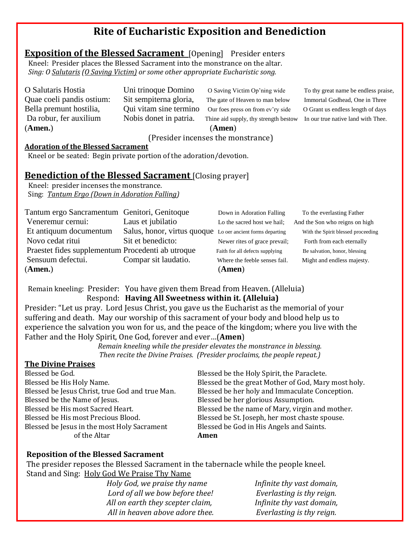# **Rite of Eucharistic Exposition and Benediction**

## **Exposition of the Blessed Sacrament** [Opening] Presider enters

 Kneel: Presider places the Blessed Sacrament into the monstrance on the altar.  *Sing: O Salutaris (O Saving Victim) or some other appropriate Eucharistic song.*

(**Amen.**) (**Amen**)

O Salutaris Hostia Uni trinoque Domino O Saving Victim Op'ning wide To thy great name be endless praise, Quae coeli pandis ostium: Sit sempiterna gloria, The gate of Heaven to man below Immortal Godhead, One in Three Bella premunt hostilia, Qui vitam sine termino Our foes press on from ev'ry side O Grant us endless length of days Da robur, fer auxilium Nobis donet in patria. Thine aid supply, thy strength bestow In our true native land with Thee.

#### (Presider incenses the monstrance)

#### **Adoration of the Blessed Sacrament**

Kneel or be seated: Begin private portion of the adoration/devotion.

### **Benediction of the Blessed Sacrament** [Closing prayer]

 Kneel: presider incenses the monstrance. Sing: *Tantum Ergo (Down in Adoration Falling)*

| Tantum ergo Sancramentum Genitori, Genitoque      |                                                            | Down in Adoration Falling       | To the everlasting Father          |
|---------------------------------------------------|------------------------------------------------------------|---------------------------------|------------------------------------|
| Veneremur cernui:                                 | Laus et jubilatio                                          | Lo the sacred host we hail;     | And the Son who reigns on high     |
| Et antiquum documentum                            | Salus, honor, virtus quoque Lo oer ancient forms departing |                                 | With the Spirit blessed proceeding |
| Novo cedat ritui                                  | Sit et benedicto:                                          | Newer rites of grace prevail;   | Forth from each eternally          |
| Praestet fides supplementum Procedenti ab utroque |                                                            | Faith for all defects supplying | Be salvation, honor, blessing      |
| Sensuum defectui.                                 | Compar sit laudatio.                                       | Where the feeble senses fail.   | Might and endless majesty.         |
| (Amen.)                                           |                                                            | (Amen)                          |                                    |

Remain kneeling: Presider: You have given them Bread from Heaven. (Alleluia) Respond: **Having All Sweetness within it. (Alleluia)**

Presider: "Let us pray. Lord Jesus Christ, you gave us the Eucharist as the memorial of your suffering and death. May our worship of this sacrament of your body and blood help us to experience the salvation you won for us, and the peace of the kingdom; where you live with the Father and the Holy Spirit, One God, forever and ever…(**Amen**)

*Remain kneeling while the presider elevates the monstrance in blessing. Then recite the Divine Praises. (Presider proclaims, the people repeat.)*

### **The Divine Praises**

| Blessed be the Holy Spirit, the Paraclete.          |  |
|-----------------------------------------------------|--|
| Blessed be the great Mother of God, Mary most holy. |  |
| Blessed be her holy and Immaculate Conception.      |  |
| Blessed be her glorious Assumption.                 |  |
| Blessed be the name of Mary, virgin and mother.     |  |
| Blessed be St. Joseph, her most chaste spouse.      |  |
| Blessed be God in His Angels and Saints.            |  |
| Amen                                                |  |
|                                                     |  |

#### **Reposition of the Blessed Sacrament**

The presider reposes the Blessed Sacrament in the tabernacle while the people kneel. Stand and Sing: Holy God We Praise Thy Name

> *Holy God, we praise thy name Infinite thy vast domain, Lord of all we bow before thee! Everlasting is thy reign. All on earth they scepter claim, Infinite thy vast domain, All in heaven above adore thee. Everlasting is thy reign.*